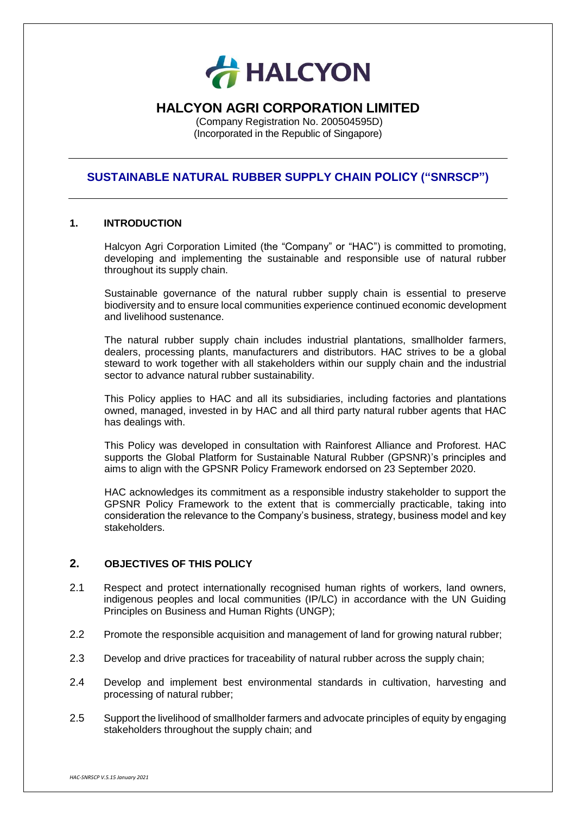

# **HALCYON AGRI CORPORATION LIMITED**

(Company Registration No. 200504595D) (Incorporated in the Republic of Singapore)

# **SUSTAINABLE NATURAL RUBBER SUPPLY CHAIN POLICY ("SNRSCP")**

### **1. INTRODUCTION**

Halcyon Agri Corporation Limited (the "Company" or "HAC") is committed to promoting, developing and implementing the sustainable and responsible use of natural rubber throughout its supply chain.

Sustainable governance of the natural rubber supply chain is essential to preserve biodiversity and to ensure local communities experience continued economic development and livelihood sustenance.

The natural rubber supply chain includes industrial plantations, smallholder farmers, dealers, processing plants, manufacturers and distributors. HAC strives to be a global steward to work together with all stakeholders within our supply chain and the industrial sector to advance natural rubber sustainability.

This Policy applies to HAC and all its subsidiaries, including factories and plantations owned, managed, invested in by HAC and all third party natural rubber agents that HAC has dealings with.

This Policy was developed in consultation with Rainforest Alliance and Proforest. HAC supports the Global Platform for Sustainable Natural Rubber (GPSNR)'s principles and aims to align with the GPSNR Policy Framework endorsed on 23 September 2020.

HAC acknowledges its commitment as a responsible industry stakeholder to support the GPSNR Policy Framework to the extent that is commercially practicable, taking into consideration the relevance to the Company's business, strategy, business model and key stakeholders.

# **2. OBJECTIVES OF THIS POLICY**

- 2.1 Respect and protect internationally recognised human rights of workers, land owners, indigenous peoples and local communities (IP/LC) in accordance with the UN Guiding Principles on Business and Human Rights (UNGP);
- 2.2 Promote the responsible acquisition and management of land for growing natural rubber;
- 2.3 Develop and drive practices for traceability of natural rubber across the supply chain;
- 2.4 Develop and implement best environmental standards in cultivation, harvesting and processing of natural rubber;
- 2.5 Support the livelihood of smallholder farmers and advocate principles of equity by engaging stakeholders throughout the supply chain; and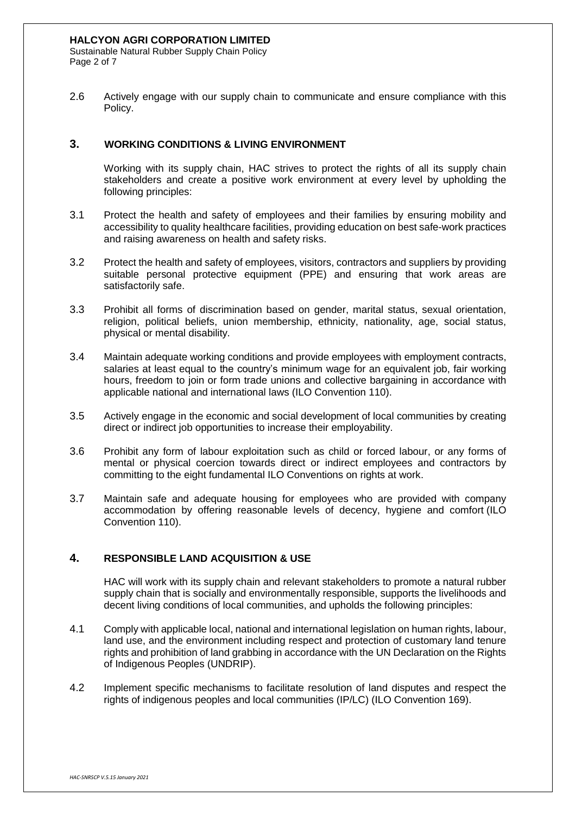Sustainable Natural Rubber Supply Chain Policy Page 2 of 7

2.6 Actively engage with our supply chain to communicate and ensure compliance with this Policy.

# **3. WORKING CONDITIONS & LIVING ENVIRONMENT**

Working with its supply chain, HAC strives to protect the rights of all its supply chain stakeholders and create a positive work environment at every level by upholding the following principles:

- 3.1 Protect the health and safety of employees and their families by ensuring mobility and accessibility to quality healthcare facilities, providing education on best safe-work practices and raising awareness on health and safety risks.
- 3.2 Protect the health and safety of employees, visitors, contractors and suppliers by providing suitable personal protective equipment (PPE) and ensuring that work areas are satisfactorily safe.
- 3.3 Prohibit all forms of discrimination based on gender, marital status, sexual orientation, religion, political beliefs, union membership, ethnicity, nationality, age, social status, physical or mental disability.
- 3.4 Maintain adequate working conditions and provide employees with employment contracts, salaries at least equal to the country's minimum wage for an equivalent job, fair working hours, freedom to join or form trade unions and collective bargaining in accordance with applicable national and international laws (ILO Convention 110).
- 3.5 Actively engage in the economic and social development of local communities by creating direct or indirect job opportunities to increase their employability.
- 3.6 Prohibit any form of labour exploitation such as child or forced labour, or any forms of mental or physical coercion towards direct or indirect employees and contractors by committing to the eight fundamental ILO Conventions on rights at work.
- 3.7 Maintain safe and adequate housing for employees who are provided with company accommodation by offering reasonable levels of decency, hygiene and comfort (ILO Convention 110).

# **4. RESPONSIBLE LAND ACQUISITION & USE**

HAC will work with its supply chain and relevant stakeholders to promote a natural rubber supply chain that is socially and environmentally responsible, supports the livelihoods and decent living conditions of local communities, and upholds the following principles:

- 4.1 Comply with applicable local, national and international legislation on human rights, labour, land use, and the environment including respect and protection of customary land tenure rights and prohibition of land grabbing in accordance with the UN Declaration on the Rights of Indigenous Peoples (UNDRIP).
- 4.2 Implement specific mechanisms to facilitate resolution of land disputes and respect the rights of indigenous peoples and local communities (IP/LC) (ILO Convention 169).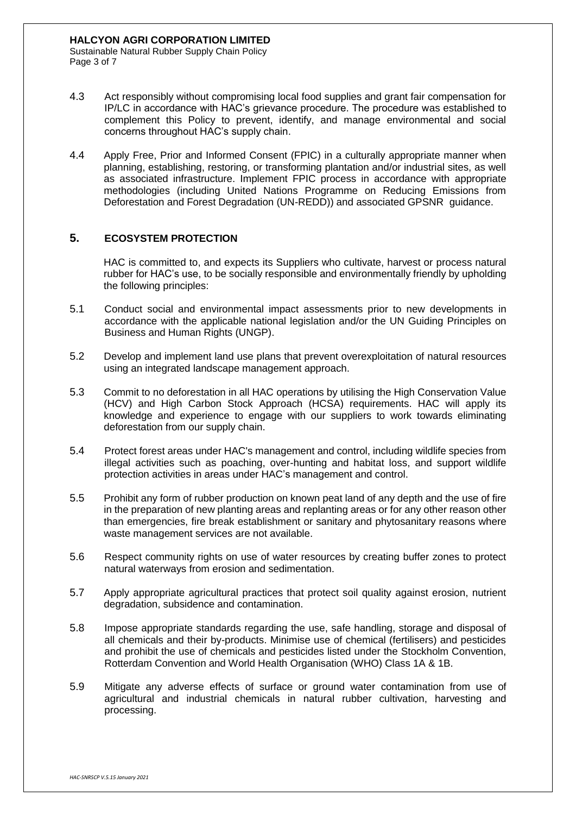Sustainable Natural Rubber Supply Chain Policy Page 3 of 7

- 4.3 Act responsibly without compromising local food supplies and grant fair compensation for IP/LC in accordance with HAC's grievance procedure. The procedure was established to complement this Policy to prevent, identify, and manage environmental and social concerns throughout HAC's supply chain.
- 4.4 Apply Free, Prior and Informed Consent (FPIC) in a culturally appropriate manner when planning, establishing, restoring, or transforming plantation and/or industrial sites, as well as associated infrastructure. Implement FPIC process in accordance with appropriate methodologies (including United Nations Programme on Reducing Emissions from Deforestation and Forest Degradation (UN-REDD)) and associated GPSNR guidance.

# **5. ECOSYSTEM PROTECTION**

HAC is committed to, and expects its Suppliers who cultivate, harvest or process natural rubber for HAC's use, to be socially responsible and environmentally friendly by upholding the following principles:

- 5.1 Conduct social and environmental impact assessments prior to new developments in accordance with the applicable national legislation and/or the UN Guiding Principles on Business and Human Rights (UNGP).
- 5.2 Develop and implement land use plans that prevent overexploitation of natural resources using an integrated landscape management approach.
- 5.3 Commit to no deforestation in all HAC operations by utilising the High Conservation Value (HCV) and High Carbon Stock Approach (HCSA) requirements. HAC will apply its knowledge and experience to engage with our suppliers to work towards eliminating deforestation from our supply chain.
- 5.4 Protect forest areas under HAC's management and control, including wildlife species from illegal activities such as poaching, over-hunting and habitat loss, and support wildlife protection activities in areas under HAC's management and control.
- 5.5 Prohibit any form of rubber production on known peat land of any depth and the use of fire in the preparation of new planting areas and replanting areas or for any other reason other than emergencies, fire break establishment or sanitary and phytosanitary reasons where waste management services are not available.
- 5.6 Respect community rights on use of water resources by creating buffer zones to protect natural waterways from erosion and sedimentation.
- 5.7 Apply appropriate agricultural practices that protect soil quality against erosion, nutrient degradation, subsidence and contamination.
- 5.8 Impose appropriate standards regarding the use, safe handling, storage and disposal of all chemicals and their by-products. Minimise use of chemical (fertilisers) and pesticides and prohibit the use of chemicals and pesticides listed under the Stockholm Convention, Rotterdam Convention and World Health Organisation (WHO) Class 1A & 1B.
- 5.9 Mitigate any adverse effects of surface or ground water contamination from use of agricultural and industrial chemicals in natural rubber cultivation, harvesting and processing.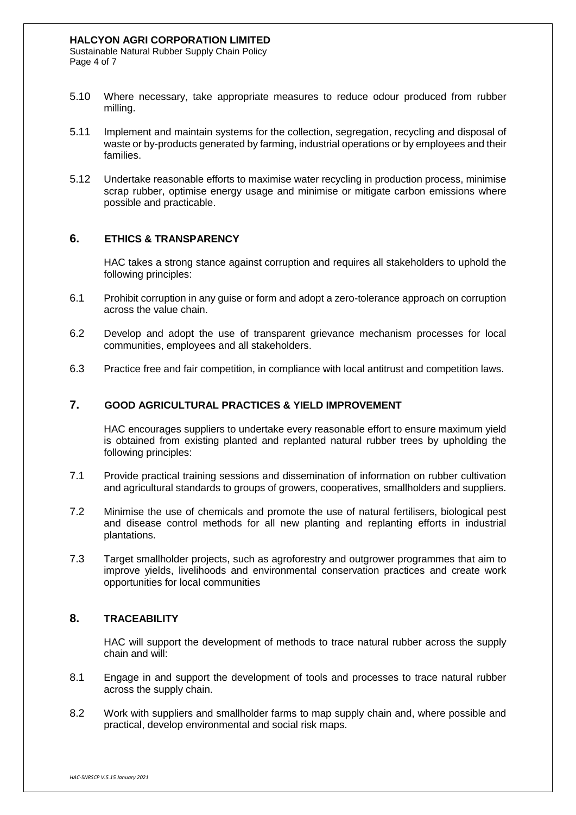Sustainable Natural Rubber Supply Chain Policy Page 4 of 7

- 5.10 Where necessary, take appropriate measures to reduce odour produced from rubber milling.
- 5.11 Implement and maintain systems for the collection, segregation, recycling and disposal of waste or by-products generated by farming, industrial operations or by employees and their families.
- 5.12 Undertake reasonable efforts to maximise water recycling in production process, minimise scrap rubber, optimise energy usage and minimise or mitigate carbon emissions where possible and practicable.

# **6. ETHICS & TRANSPARENCY**

HAC takes a strong stance against corruption and requires all stakeholders to uphold the following principles:

- 6.1 Prohibit corruption in any guise or form and adopt a zero-tolerance approach on corruption across the value chain.
- 6.2 Develop and adopt the use of transparent grievance mechanism processes for local communities, employees and all stakeholders.
- 6.3 Practice free and fair competition, in compliance with local antitrust and competition laws.

### **7. GOOD AGRICULTURAL PRACTICES & YIELD IMPROVEMENT**

HAC encourages suppliers to undertake every reasonable effort to ensure maximum yield is obtained from existing planted and replanted natural rubber trees by upholding the following principles:

- 7.1 Provide practical training sessions and dissemination of information on rubber cultivation and agricultural standards to groups of growers, cooperatives, smallholders and suppliers.
- 7.2 Minimise the use of chemicals and promote the use of natural fertilisers, biological pest and disease control methods for all new planting and replanting efforts in industrial plantations.
- 7.3 Target smallholder projects, such as agroforestry and outgrower programmes that aim to improve yields, livelihoods and environmental conservation practices and create work opportunities for local communities

### **8. TRACEABILITY**

HAC will support the development of methods to trace natural rubber across the supply chain and will:

- 8.1 Engage in and support the development of tools and processes to trace natural rubber across the supply chain.
- 8.2 Work with suppliers and smallholder farms to map supply chain and, where possible and practical, develop environmental and social risk maps.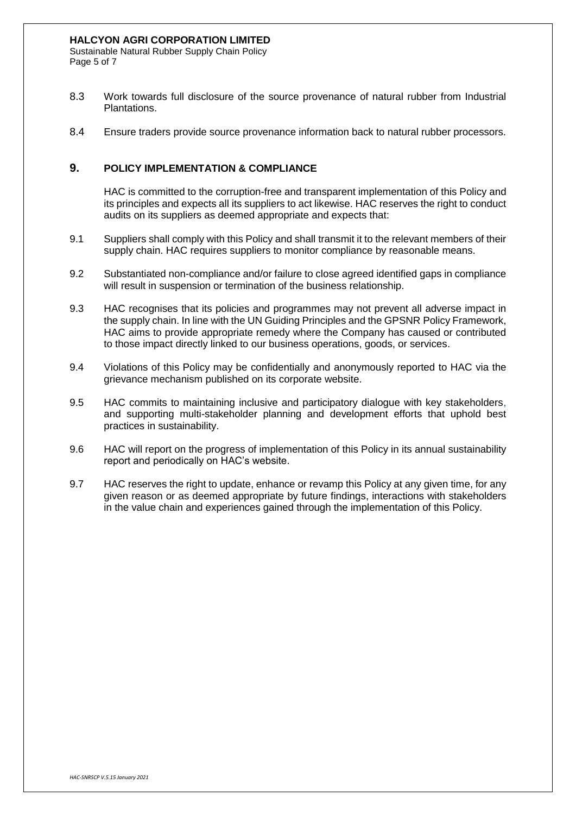### **HALCYON AGRI CORPORATION LIMITED**

Sustainable Natural Rubber Supply Chain Policy Page 5 of 7

- 8.3 Work towards full disclosure of the source provenance of natural rubber from Industrial Plantations.
- 8.4 Ensure traders provide source provenance information back to natural rubber processors.

### **9. POLICY IMPLEMENTATION & COMPLIANCE**

HAC is committed to the corruption-free and transparent implementation of this Policy and its principles and expects all its suppliers to act likewise. HAC reserves the right to conduct audits on its suppliers as deemed appropriate and expects that:

- 9.1 Suppliers shall comply with this Policy and shall transmit it to the relevant members of their supply chain. HAC requires suppliers to monitor compliance by reasonable means.
- 9.2 Substantiated non-compliance and/or failure to close agreed identified gaps in compliance will result in suspension or termination of the business relationship.
- 9.3 HAC recognises that its policies and programmes may not prevent all adverse impact in the supply chain. In line with the UN Guiding Principles and the GPSNR Policy Framework, HAC aims to provide appropriate remedy where the Company has caused or contributed to those impact directly linked to our business operations, goods, or services.
- 9.4 Violations of this Policy may be confidentially and anonymously reported to HAC via the grievance mechanism published on its corporate website.
- 9.5 HAC commits to maintaining inclusive and participatory dialogue with key stakeholders, and supporting multi-stakeholder planning and development efforts that uphold best practices in sustainability.
- 9.6 HAC will report on the progress of implementation of this Policy in its annual sustainability report and periodically on HAC's website.
- 9.7 HAC reserves the right to update, enhance or revamp this Policy at any given time, for any given reason or as deemed appropriate by future findings, interactions with stakeholders in the value chain and experiences gained through the implementation of this Policy.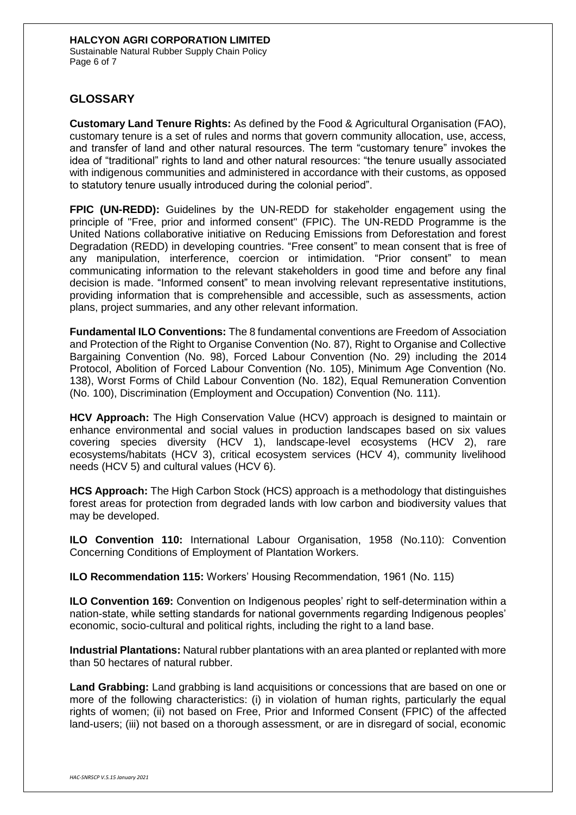Sustainable Natural Rubber Supply Chain Policy Page 6 of 7

# **GLOSSARY**

**Customary Land Tenure Rights:** As defined by the Food & Agricultural Organisation (FAO), customary tenure is a set of rules and norms that govern community allocation, use, access, and transfer of land and other natural resources. The term "customary tenure" invokes the idea of "traditional" rights to land and other natural resources: "the tenure usually associated with indigenous communities and administered in accordance with their customs, as opposed to statutory tenure usually introduced during the colonial period".

**FPIC (UN-REDD):** Guidelines by the UN-REDD for stakeholder engagement using the principle of "Free, prior and informed consent" (FPIC). The UN-REDD Programme is the United Nations collaborative initiative on Reducing Emissions from Deforestation and forest Degradation (REDD) in developing countries. "Free consent" to mean consent that is free of any manipulation, interference, coercion or intimidation. "Prior consent" to mean communicating information to the relevant stakeholders in good time and before any final decision is made. "Informed consent" to mean involving relevant representative institutions, providing information that is comprehensible and accessible, such as assessments, action plans, project summaries, and any other relevant information.

**Fundamental ILO Conventions:** The 8 fundamental conventions are Freedom of Association and Protection of the Right to Organise Convention (No. 87), Right to Organise and Collective Bargaining Convention (No. 98), Forced Labour Convention (No. 29) including the 2014 Protocol, Abolition of Forced Labour Convention (No. 105), Minimum Age Convention (No. 138), Worst Forms of Child Labour Convention (No. 182), Equal Remuneration Convention (No. 100), Discrimination (Employment and Occupation) Convention (No. 111).

**HCV Approach:** The High Conservation Value (HCV) approach is designed to maintain or enhance environmental and social values in production landscapes based on six values covering species diversity (HCV 1), landscape-level ecosystems (HCV 2), rare ecosystems/habitats (HCV 3), critical ecosystem services (HCV 4), community livelihood needs (HCV 5) and cultural values (HCV 6).

**HCS Approach:** The High Carbon Stock (HCS) approach is a methodology that distinguishes forest areas for protection from degraded lands with low carbon and biodiversity values that may be developed.

**ILO Convention 110:** International Labour Organisation, 1958 (No.110): Convention Concerning Conditions of Employment of Plantation Workers.

**ILO Recommendation 115:** Workers' Housing Recommendation, 1961 (No. 115)

**ILO Convention 169:** Convention on Indigenous peoples' right to self-determination within a nation-state, while setting standards for national governments regarding Indigenous peoples' economic, socio-cultural and political rights, including the right to a land base.

**Industrial Plantations:** Natural rubber plantations with an area planted or replanted with more than 50 hectares of natural rubber.

**Land Grabbing:** Land grabbing is land acquisitions or concessions that are based on one or more of the following characteristics: (i) in violation of human rights, particularly the equal rights of women; (ii) not based on Free, Prior and Informed Consent (FPIC) of the affected land-users; (iii) not based on a thorough assessment, or are in disregard of social, economic